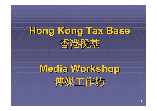

# **Media Workshop Media Workshop** 傳媒工作坊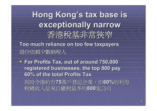

**Too much reliance on too few taxpayers Too much reliance on too few taxpayers** 過份依賴 少數納稅人

 **For Profits Tax, out of around 7 For Profits Tax, out of around 7 50,000 registered businesses, the top 800 pay 6 0% of the total Profits Tax % of the total Profits Tax** 現時全港約有75萬戶登記企業,但60%的利得 稅總收入是來自繳稅最多的 稅總收入是來自繳稅最多的**800**家公司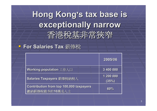## **Hong Kong Hong Kong 's tax base is s tax base is exceptionally narrow exceptionally narrow** 香 稅基非常狹窄

### **For Salaries Salaries Tax** 薪俸稅

|                                                                  | 2005/06            |
|------------------------------------------------------------------|--------------------|
| Working population 工作人口                                          | 3 400 000          |
| Salaries Taxpayers 薪俸稅納稅人                                        | 1 200 000<br>(35%) |
| <b>Contribution from top 100,000 taxpayers</b><br>繳納薪俸稅最多的10萬名人士 | 60%                |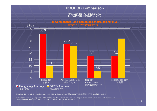#### **HK/OECD comparison**

#### 香港與經合組織比較



**Tax Components : as a percentage of total tax revenue**

Hong Kong (2001-02 to 2003-04 fiscal years) and OECD (2001-2003 calendar years)香港(2001-02 至2003-04 財政年度)及經合組織(2001-2003年)

\*Consumption Tax in Hong Kong includes Duties, Betting Duty, Hotel Accommodation Tax, Air Passenger Departure Tax and Motor Vehicle First Registration Tax 香港的消費稅包括應課稅品稅、博彩稅、酒店房租稅、飛機乘客離境稅及汽車首次登記稅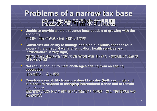## **Problems of a narrow tax base Problems of a narrow tax base** 稅基狹窄所帶來的問題 稅基狹窄所帶來的問題

**Unable to provide a stable revenue base capable of growing with the economy economy** 不能提供可配合經濟增長的穩定稅收基礎

 $\blacksquare$ **Constrains our ability to manage and plan our public finances (our** expenditure on social welfare, education, health services and **infrastructure infrastructure is very rigid is very rigid)** 削弱管理及計劃公共財政的能力 **(**香港的社會福利、教育、醫療服務及基建的 開支均缺乏彈性 **)**

 $\Box\!\!\!\Box\!\!\!\Box$ **Not robust enough to meet challenges arising from an ageing population population** 不能應付人口老化問題

 $\blacksquare$ **Constrains our ability to reduce direct tax rates (both corporate and** personal) to respond to changing international trends and to remain **competitive competitive** 調低直接稅稅率 **(**包括公司及個人稅項 **)**的能力受限制,難以回應國際趨勢及 維持競爭力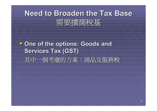## **Need to Broaden the Tax Base Need to Broaden the Tax Base** 需要擴濶稅基

### **P One of the options: Goods and Services Tax (GST) Services Tax (GST)** 其中一個考慮的方案:商品及服務稅 其中一個考慮的方案:商品及服務稅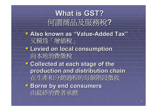## **What is GST? What is GST?** 何謂商品及服務稅 **?**

**LAlso known as "Value-Added Tax "**又稱為「增值稅」 **Levied on local consumption Levied on local consumption** 向本地消費徵稅 向本地消費徵稅 **P Collected at each stage of the production and distribution chain production and distribution chain** 在生產和分銷過程的每個階段徵收 **Borne by end consumers** 由最終消費者承擔 由最終消費者承擔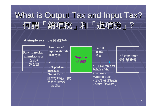### What is Output Tax and Input Tax? 何謂「銷項稅」和「進項稅」 ?

#### **A simple example** 簡單例子

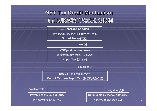### **GST Tax Credit Mechanism** 商品及服務稅的稅收 抵免機制

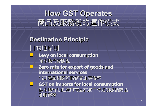

**Destination Principle Destination Principle** 目的地原則 **Levy on local consumption Levy on local consumption** 向本地消費徵稅 向本地消費徵稅  $\overline{\phantom{0}}$ **Zero rate for export of goods and international services international services**出口商品和國際服務實施零稅率  $\mathbb{R}^2$  **GST on imports for local consumption GST on imports for local consumption** 供本地留用的進口商品在進口時則須繳納商品 及服務稅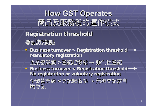## **How GST Operates How GST Operates** 商品及服務稅的運作模式

- **Registration threshold Registration threshold** 登記起徵點
- **Business turnover > Registration threshold Mandatory registration Mandatory registration**

企業營業額 **<sup>&</sup>gt;**登記起徵點  $\rightarrow$  強制性登記 **Business turnover < Registration threshold · No registration or voluntary registration No registration or voluntary registration**

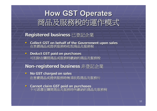

#### **Registered business Registered business**  已登記企業

- **Collect GST on behalf of the Government upon sales Collect GST on behalf of the Government upon sales** 在售賣商品或提供服務時收取商品及服務稅
- **P** Deduct GST paid on purchases 可扣除在購買商品或服務時繳納的商品及服務稅

### **Non -registered business registered business** 非登記企業

- $\blacksquare$  **No GST charged on sales No GST charged on sales** 在售賣商品或提供服務時無須收取商品及服務 稅
- **Cannot claim GST paid on purchases Cannot claim GST paid on purchases** 不可退還在購買商品及服務時所繳納的商品及服務稅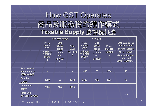## **How GST Operates** 商品及服務稅的運作模式 **Taxable Supply**  應課稅供應

|                                               |                                                                   | <b>Purchases 購買</b>                                                           |                                    | Sale 銷售                                                           |                                                          |                                       |                                                                                                             |
|-----------------------------------------------|-------------------------------------------------------------------|-------------------------------------------------------------------------------|------------------------------------|-------------------------------------------------------------------|----------------------------------------------------------|---------------------------------------|-------------------------------------------------------------------------------------------------------------|
|                                               | <b>Price</b><br>before<br><b>GST</b><br>不含商品<br>及服務稅<br>的價格<br>\$ | <b>GST</b><br>商品及<br>服務稅<br>(Input<br><b>tax</b><br>進項稅)<br>$\boldsymbol{\$}$ | <b>Price</b><br>paid<br>所付價格<br>S. | <b>Price</b><br>before<br><b>GST</b><br>不含商品<br>及服務稅<br>的價格<br>\$ | <b>GST</b><br>商品及<br>服務稅<br>(Output<br>tax<br>銷項稅)<br>\$ | <b>Price</b><br>charged<br>所索價格<br>S. | <b>GST paid to the</b><br>tax authority<br>付予稅務當局的<br>商品及服務稅<br>(Output tax less<br>input tax)<br>(銷項稅減進項稅) |
| <b>Raw material</b><br>manufacturer<br>原材料製造商 |                                                                   |                                                                               |                                    | 1000                                                              | 50                                                       | 1050                                  | 50                                                                                                          |
| <b>Supplier</b><br>供應商                        | 1000                                                              | 50                                                                            | 1050                               | 2500                                                              | 125                                                      | 2625                                  | 75                                                                                                          |
| <b>Consumer</b><br>消費者                        | 2500                                                              | 125                                                                           | 2625                               |                                                                   |                                                          |                                       |                                                                                                             |
| <b>Total GST</b><br>商品及服務稅總額                  |                                                                   |                                                                               |                                    |                                                                   |                                                          |                                       | 125                                                                                                         |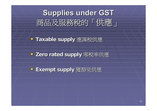

**- Taxable supply** 應課稅供應

**- Zero rated supply** 零稅率供應

**Exempt supply Exempt supply** 獲豁免供應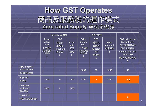**How GST Operates How GST Operates** 商品及服務稅的運作模式 **Zero rated Supply rated Supply**  零稅率供應

|                                               |                                                                   | <b>Purchases 購買</b>                                  |                                        |                                                                   | Sale 銷售                                                            |                                                      |                                                                                                                                         |
|-----------------------------------------------|-------------------------------------------------------------------|------------------------------------------------------|----------------------------------------|-------------------------------------------------------------------|--------------------------------------------------------------------|------------------------------------------------------|-----------------------------------------------------------------------------------------------------------------------------------------|
|                                               | <b>Price</b><br>before<br><b>GST</b><br>不含商品<br>及服務稅<br>的價格<br>\$ | <b>GST</b><br>商品及<br>服務稅<br>(Input tax<br>進項稅)<br>\$ | <b>Price</b><br>paid<br>所付<br>價格<br>\$ | <b>Price</b><br>before<br><b>GST</b><br>不含商品<br>及服務稅<br>的價格<br>\$ | <b>GST</b><br>商品及<br>服務稅<br>(Output<br>tax<br>銷項稅)<br>$\mathbf{s}$ | <b>Price</b><br>charged<br>所索價格<br>$\boldsymbol{\$}$ | <b>GST paid to the</b><br>tax authority<br>付予稅務當局的<br>商品及服務稅<br><b>(Output tax less</b><br>input tax)<br>(銷項稅減進項稅)<br>$\boldsymbol{\$}$ |
| <b>Raw material</b><br>manufacturer<br>原材料製造商 |                                                                   |                                                      |                                        | 1000                                                              | 50                                                                 | 1050                                                 | 50                                                                                                                                      |
| <b>Supplier</b><br>供應商                        | 1000                                                              | 50                                                   | 1050                                   | 2500                                                              | $\bf{0}$                                                           | 2500                                                 | (50)                                                                                                                                    |
| <b>Overseas</b><br>customer<br>海外買家           | 2500                                                              | $\mathbf 0$                                          | 2500                                   |                                                                   |                                                                    |                                                      |                                                                                                                                         |
| <b>Total GST</b><br>商品及服務稅總額                  |                                                                   |                                                      |                                        |                                                                   |                                                                    |                                                      | $\bf{0}$                                                                                                                                |

**Raw material Raw material** man 原材

**Sup** 

**Over** 

海外

**Tota** 商品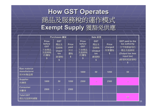### **How GST Operates How GST Operates** 商品及服務稅的運作模式 **Exempt Supply** 獲豁免供應

|                                               | <b>Purchases</b> 購買                                               |                                                                               |                                        |                                                                   | Sale 銷售                                                                 |                                                              |                                                                                                                   |
|-----------------------------------------------|-------------------------------------------------------------------|-------------------------------------------------------------------------------|----------------------------------------|-------------------------------------------------------------------|-------------------------------------------------------------------------|--------------------------------------------------------------|-------------------------------------------------------------------------------------------------------------------|
|                                               | <b>Price</b><br>before<br><b>GST</b><br>不含商品<br>及服務稅<br>的價格<br>\$ | <b>GST</b><br>商品及<br>服務稅<br>(Input<br><b>tax</b><br>進項稅)<br>$\boldsymbol{\$}$ | <b>Price</b><br>paid<br>所付<br>價格<br>\$ | <b>Price</b><br>before<br><b>GST</b><br>不含商品<br>及服務稅<br>的價格<br>\$ | <b>GST</b><br>商品及<br>服務稅<br>(Output<br>tax<br>銷項稅)<br>$\boldsymbol{\$}$ | <b>Price</b><br>charged<br>所索價格<br>$\boldsymbol{\mathsf{s}}$ | <b>GST paid to the</b><br>tax authority<br>付予稅務當局的<br>商品及服務稅<br>(Output tax less<br>input tax)<br>(銷項稅減進項稅)<br>\$ |
| <b>Raw material</b><br>manufacturer<br>原材料製造商 |                                                                   |                                                                               |                                        | 1000                                                              | 50                                                                      | 1050                                                         | 50                                                                                                                |
| <b>Supplier</b><br>供應商                        | 1000                                                              | 50                                                                            | 1050                                   | 2500                                                              |                                                                         | 2500                                                         | mm.                                                                                                               |
| <b>Consumer</b><br>消費者                        | 2500                                                              | $\sim$                                                                        | 2500                                   |                                                                   |                                                                         |                                                              |                                                                                                                   |
| <b>Total GST</b><br>商品及服務稅總額                  |                                                                   |                                                                               |                                        |                                                                   |                                                                         |                                                              | 50                                                                                                                |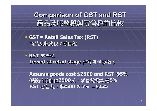**Comparison of GST and RST Comparison of GST and RST** 商品及服務稅與零售稅的比較

■ GST ≠ Retail Sales Tax (RST) 商品及服務稅 **≠**零售稅

 **RST** 零售稅 Levied at retail stage 在零售階段徵收

**Assume goods cost \$2500 and RST @5% Assume goods cost \$2500 and RST @5%** 假設商品價值**2500**元,零售稅稅率是 元,零售稅稅率是**5% RST 零售稅: \$2500 X 5% =\$125**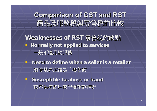**Comparison of GST and RST Comparison of GST and RST** 商品及服務稅與零售稅的比較

Weaknesses of RST 零售稅的缺點 **Hetally not applied to services** 一般不適用於服務

- **Need to define when a seller is a retailer is a seller** 須清楚界定誰是「零售商」
- **E** Susceptible to abuse or fraud 較容易被濫用或出現欺詐情況 較容易被濫用或出現欺詐情況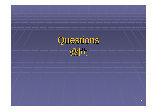